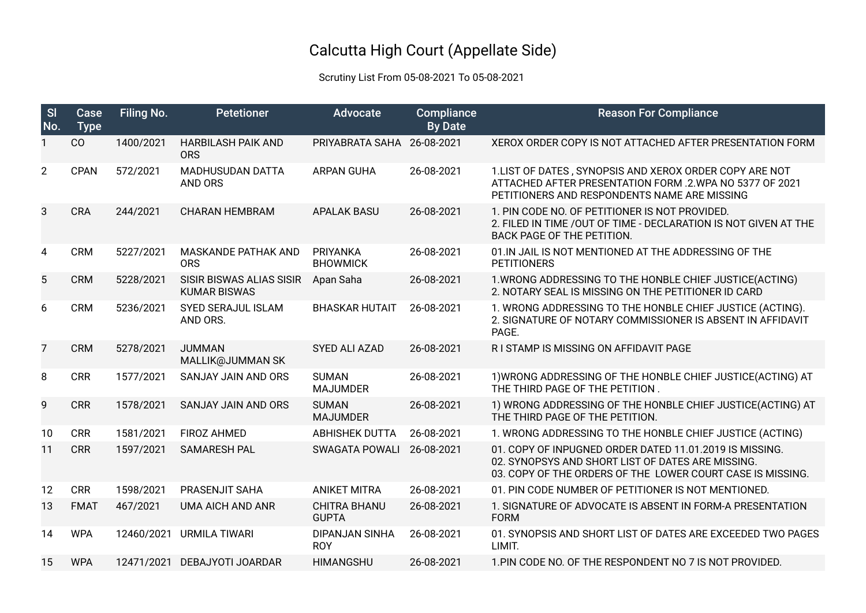## Calcutta High Court (Appellate Side)

## Scrutiny List From 05-08-2021 To 05-08-2021

| S <sub>l</sub><br>No. | Case<br><b>Type</b> | Filing No. | <b>Petetioner</b>                                      | <b>Advocate</b>                     | <b>Compliance</b><br><b>By Date</b> | <b>Reason For Compliance</b>                                                                                                                                               |
|-----------------------|---------------------|------------|--------------------------------------------------------|-------------------------------------|-------------------------------------|----------------------------------------------------------------------------------------------------------------------------------------------------------------------------|
| 1                     | CO                  | 1400/2021  | <b>HARBILASH PAIK AND</b><br><b>ORS</b>                | PRIYABRATA SAHA                     | 26-08-2021                          | XEROX ORDER COPY IS NOT ATTACHED AFTER PRESENTATION FORM                                                                                                                   |
| $\overline{2}$        | <b>CPAN</b>         | 572/2021   | <b>MADHUSUDAN DATTA</b><br>AND ORS                     | <b>ARPAN GUHA</b>                   | 26-08-2021                          | 1. LIST OF DATES, SYNOPSIS AND XEROX ORDER COPY ARE NOT<br>ATTACHED AFTER PRESENTATION FORM .2. WPA NO 5377 OF 2021<br>PETITIONERS AND RESPONDENTS NAME ARE MISSING        |
| 3                     | CRA                 | 244/2021   | <b>CHARAN HEMBRAM</b>                                  | <b>APALAK BASU</b>                  | 26-08-2021                          | 1. PIN CODE NO. OF PETITIONER IS NOT PROVIDED.<br>2. FILED IN TIME / OUT OF TIME - DECLARATION IS NOT GIVEN AT THE<br>BACK PAGE OF THE PETITION.                           |
| 4                     | <b>CRM</b>          | 5227/2021  | <b>MASKANDE PATHAK AND</b><br><b>ORS</b>               | PRIYANKA<br><b>BHOWMICK</b>         | 26-08-2021                          | 01. IN JAIL IS NOT MENTIONED AT THE ADDRESSING OF THE<br><b>PETITIONERS</b>                                                                                                |
| 5                     | <b>CRM</b>          | 5228/2021  | <b>SISIR BISWAS ALIAS SISIR</b><br><b>KUMAR BISWAS</b> | Apan Saha                           | 26-08-2021                          | 1. WRONG ADDRESSING TO THE HONBLE CHIEF JUSTICE(ACTING)<br>2. NOTARY SEAL IS MISSING ON THE PETITIONER ID CARD                                                             |
| 6                     | <b>CRM</b>          | 5236/2021  | <b>SYED SERAJUL ISLAM</b><br>AND ORS.                  | <b>BHASKAR HUTAIT</b>               | 26-08-2021                          | 1. WRONG ADDRESSING TO THE HONBLE CHIEF JUSTICE (ACTING).<br>2. SIGNATURE OF NOTARY COMMISSIONER IS ABSENT IN AFFIDAVIT<br>PAGE.                                           |
| $\overline{7}$        | <b>CRM</b>          | 5278/2021  | <b>JUMMAN</b><br>MALLIK@JUMMAN SK                      | SYED ALI AZAD                       | 26-08-2021                          | R I STAMP IS MISSING ON AFFIDAVIT PAGE                                                                                                                                     |
| 8                     | <b>CRR</b>          | 1577/2021  | SANJAY JAIN AND ORS                                    | <b>SUMAN</b><br><b>MAJUMDER</b>     | 26-08-2021                          | 1) WRONG ADDRESSING OF THE HONBLE CHIEF JUSTICE(ACTING) AT<br>THE THIRD PAGE OF THE PETITION.                                                                              |
| 9                     | <b>CRR</b>          | 1578/2021  | SANJAY JAIN AND ORS                                    | <b>SUMAN</b><br><b>MAJUMDER</b>     | 26-08-2021                          | 1) WRONG ADDRESSING OF THE HONBLE CHIEF JUSTICE(ACTING) AT<br>THE THIRD PAGE OF THE PETITION.                                                                              |
| 10                    | <b>CRR</b>          | 1581/2021  | <b>FIROZ AHMED</b>                                     | <b>ABHISHEK DUTTA</b>               | 26-08-2021                          | 1. WRONG ADDRESSING TO THE HONBLE CHIEF JUSTICE (ACTING)                                                                                                                   |
| 11                    | <b>CRR</b>          | 1597/2021  | <b>SAMARESH PAL</b>                                    | <b>SWAGATA POWALI</b>               | 26-08-2021                          | 01. COPY OF INPUGNED ORDER DATED 11.01.2019 IS MISSING.<br>02. SYNOPSYS AND SHORT LIST OF DATES ARE MISSING.<br>03. COPY OF THE ORDERS OF THE LOWER COURT CASE IS MISSING. |
| 12                    | <b>CRR</b>          | 1598/2021  | PRASENJIT SAHA                                         | <b>ANIKET MITRA</b>                 | 26-08-2021                          | 01. PIN CODE NUMBER OF PETITIONER IS NOT MENTIONED.                                                                                                                        |
| 13                    | <b>FMAT</b>         | 467/2021   | <b>UMA AICH AND ANR</b>                                | <b>CHITRA BHANU</b><br><b>GUPTA</b> | 26-08-2021                          | 1. SIGNATURE OF ADVOCATE IS ABSENT IN FORM-A PRESENTATION<br><b>FORM</b>                                                                                                   |
| 14                    | <b>WPA</b>          | 12460/2021 | URMILA TIWARI                                          | <b>DIPANJAN SINHA</b><br><b>ROY</b> | 26-08-2021                          | 01. SYNOPSIS AND SHORT LIST OF DATES ARE EXCEEDED TWO PAGES<br>LIMIT.                                                                                                      |
| 15                    | <b>WPA</b>          |            | 12471/2021 DEBAJYOTI JOARDAR                           | <b>HIMANGSHU</b>                    | 26-08-2021                          | 1. PIN CODE NO. OF THE RESPONDENT NO 7 IS NOT PROVIDED.                                                                                                                    |